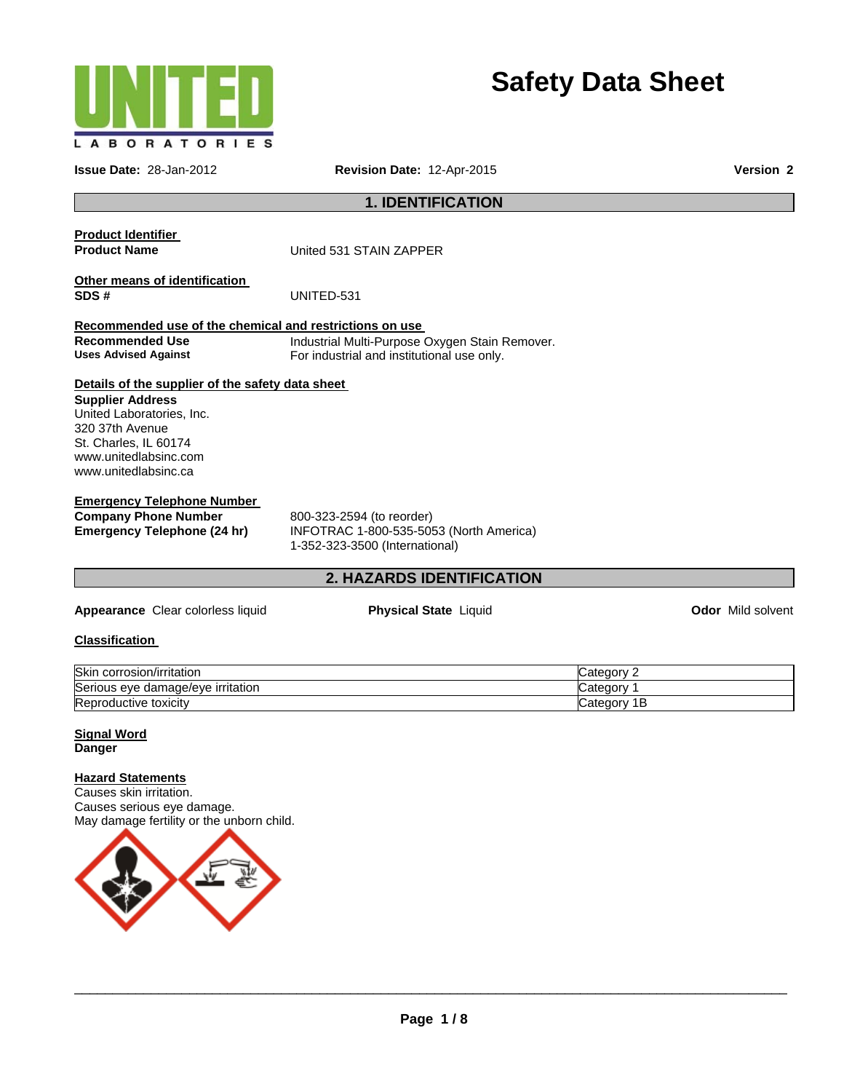

# **Safety Data Sheet**

**Issue Date:** 28-Jan-2012 **Revision Date:** 12-Apr-2015 **Version 2**

# **1. IDENTIFICATION**

# **Product Identifier**

**Product Name United 531 STAIN ZAPPER** 

### **Other means of identification SDS #** UNITED-531

# **Recommended use of the chemical and restrictions on use**

**Recommended Use Industrial Multi-Purpose Oxygen Stain Remover.**<br>
Uses Advised Against **Interpret Constant Constant Particia** and institutional use only. For industrial and institutional use only.

### **Details of the supplier of the safety data sheet**

#### **Supplier Address**  United Laboratories, Inc. 320 37th Avenue St. Charles, IL 60174 www.unitedlabsinc.com www.unitedlabsinc.ca

# **Emergency Telephone Number**

**Company Phone Number** 800-323-2594 (to reorder) **Emergency Telephone (24 hr)** INFOTRAC 1-800-535-5053 (North America) 1-352-323-3500 (International)

# **2. HAZARDS IDENTIFICATION**

**Appearance** Clear colorless liquid **Physical State** Liquid **Odor** Mild solvent

# **Classification**

| <b>Skir</b><br>corrosion/irritation                  | Categor      |
|------------------------------------------------------|--------------|
| Serio.<br>irritation<br>e damade/eve.<br>eve<br>ious | "categor     |
| Repr<br>oductive toxicity                            | Categor<br>ш |

#### **Signal Word Danger**

#### **Hazard Statements**

Causes skin irritation. Causes serious eye damage. May damage fertility or the unborn child.

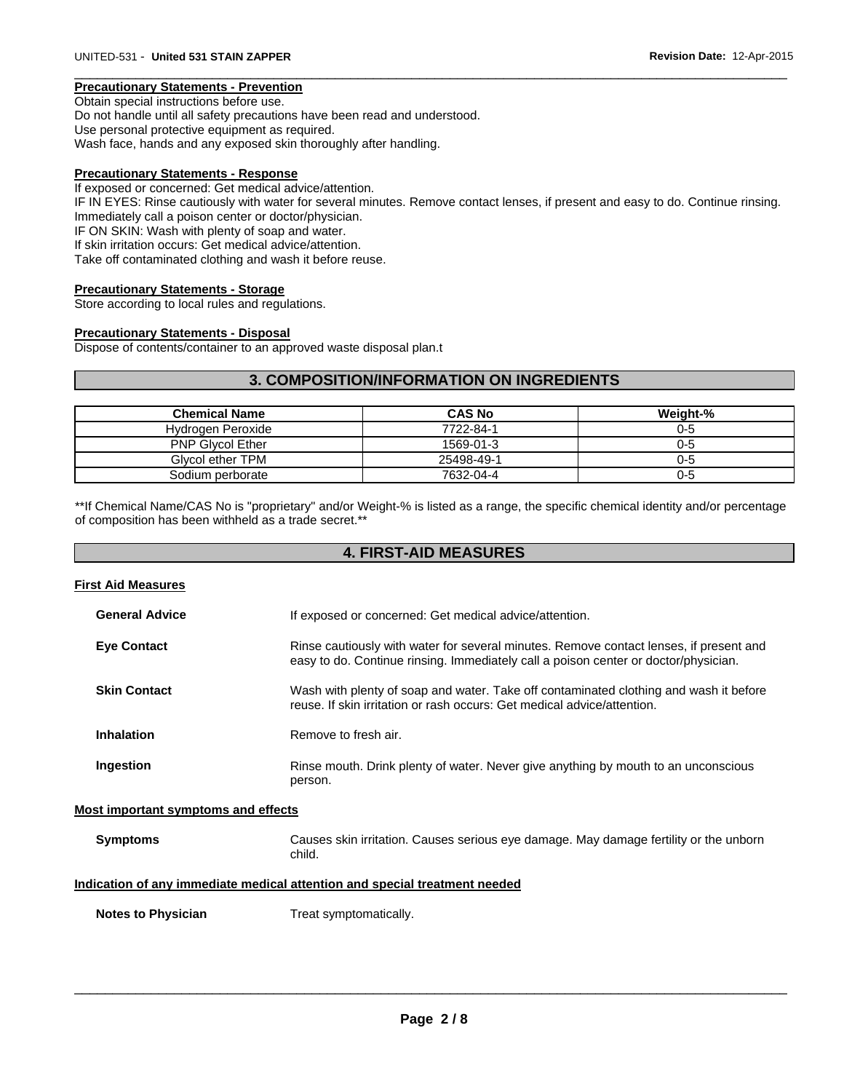#### **Precautionary Statements - Prevention**

Obtain special instructions before use. Do not handle until all safety precautions have been read and understood. Use personal protective equipment as required. Wash face, hands and any exposed skin thoroughly after handling.

#### **Precautionary Statements - Response**

If exposed or concerned: Get medical advice/attention. IF IN EYES: Rinse cautiously with water for several minutes. Remove contact lenses, if present and easy to do. Continue rinsing. Immediately call a poison center or doctor/physician. IF ON SKIN: Wash with plenty of soap and water. If skin irritation occurs: Get medical advice/attention. Take off contaminated clothing and wash it before reuse.

 $\Box$ 

#### **Precautionary Statements - Storage**

Store according to local rules and regulations.

#### **Precautionary Statements - Disposal**

Dispose of contents/container to an approved waste disposal plan.t

# **3. COMPOSITION/INFORMATION ON INGREDIENTS**

| <b>Chemical Name</b>    | <b>CAS No</b> | Weight-% |
|-------------------------|---------------|----------|
| Hydrogen Peroxide       | 7722-84-1     | 0-5      |
| <b>PNP Givcol Ether</b> | 1569-01-3     | 0-5      |
| Givcol ether TPM        | 25498-49-1    | 0-5      |
| Sodium perborate        | 7632-04-4     | 0-5      |

\*\*If Chemical Name/CAS No is "proprietary" and/or Weight-% is listed as a range, the specific chemical identity and/or percentage of composition has been withheld as a trade secret.\*\*

# **4. FIRST-AID MEASURES**

#### **First Aid Measures**

| <b>General Advice</b> | If exposed or concerned: Get medical advice/attention.                                                                                                                        |
|-----------------------|-------------------------------------------------------------------------------------------------------------------------------------------------------------------------------|
| <b>Eye Contact</b>    | Rinse cautiously with water for several minutes. Remove contact lenses, if present and<br>easy to do. Continue rinsing. Immediately call a poison center or doctor/physician. |
| <b>Skin Contact</b>   | Wash with plenty of soap and water. Take off contaminated clothing and wash it before<br>reuse. If skin irritation or rash occurs: Get medical advice/attention.              |
| <b>Inhalation</b>     | Remove to fresh air.                                                                                                                                                          |
| Ingestion             | Rinse mouth. Drink plenty of water. Never give anything by mouth to an unconscious<br>person.                                                                                 |

#### **Most important symptoms and effects**

**Symptoms** Causes skin irritation. Causes serious eye damage. May damage fertility or the unborn child.

#### **Indication of any immediate medical attention and special treatment needed**

**Notes to Physician**  Treat symptomatically.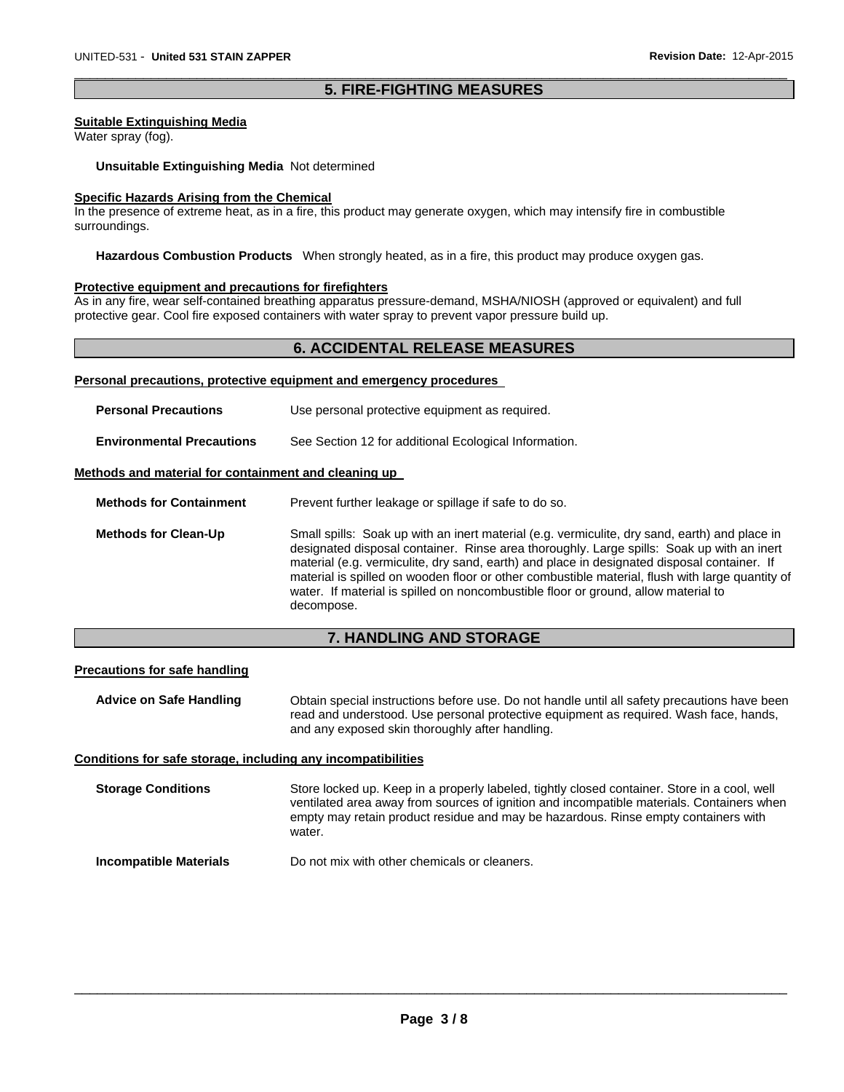# $\Box$ **5. FIRE-FIGHTING MEASURES**

#### **Suitable Extinguishing Media**

Water spray (fog).

**Unsuitable Extinguishing Media** Not determined

# **Specific Hazards Arising from the Chemical**

In the presence of extreme heat, as in a fire, this product may generate oxygen, which may intensify fire in combustible surroundings.

**Hazardous Combustion Products** When strongly heated, as in a fire, this product may produce oxygen gas.

#### **Protective equipment and precautions for firefighters**

As in any fire, wear self-contained breathing apparatus pressure-demand, MSHA/NIOSH (approved or equivalent) and full protective gear. Cool fire exposed containers with water spray to prevent vapor pressure build up.

# **6. ACCIDENTAL RELEASE MEASURES**

#### **Personal precautions, protective equipment and emergency procedures**

| <b>Personal Precautions</b>                          | Use personal protective equipment as required.                                                                                                                                                                                                                                                                                                                                                                                                                                                   |
|------------------------------------------------------|--------------------------------------------------------------------------------------------------------------------------------------------------------------------------------------------------------------------------------------------------------------------------------------------------------------------------------------------------------------------------------------------------------------------------------------------------------------------------------------------------|
| <b>Environmental Precautions</b>                     | See Section 12 for additional Ecological Information.                                                                                                                                                                                                                                                                                                                                                                                                                                            |
| Methods and material for containment and cleaning up |                                                                                                                                                                                                                                                                                                                                                                                                                                                                                                  |
| <b>Methods for Containment</b>                       | Prevent further leakage or spillage if safe to do so.                                                                                                                                                                                                                                                                                                                                                                                                                                            |
| <b>Methods for Clean-Up</b>                          | Small spills: Soak up with an inert material (e.g. vermiculite, dry sand, earth) and place in<br>designated disposal container. Rinse area thoroughly. Large spills: Soak up with an inert<br>material (e.g. vermiculite, dry sand, earth) and place in designated disposal container. If<br>material is spilled on wooden floor or other combustible material, flush with large quantity of<br>water. If material is spilled on noncombustible floor or ground, allow material to<br>decompose. |

# **7. HANDLING AND STORAGE**

### **Precautions for safe handling**

**Advice on Safe Handling** Obtain special instructions before use. Do not handle until all safety precautions have been read and understood. Use personal protective equipment as required. Wash face, hands, and any exposed skin thoroughly after handling.

#### **Conditions for safe storage, including any incompatibilities**

**Storage Conditions** Store locked up. Keep in a properly labeled, tightly closed container. Store in a cool, well ventilated area away from sources of ignition and incompatible materials. Containers when empty may retain product residue and may be hazardous. Rinse empty containers with water

**Incompatible Materials Do not mix with other chemicals or cleaners.**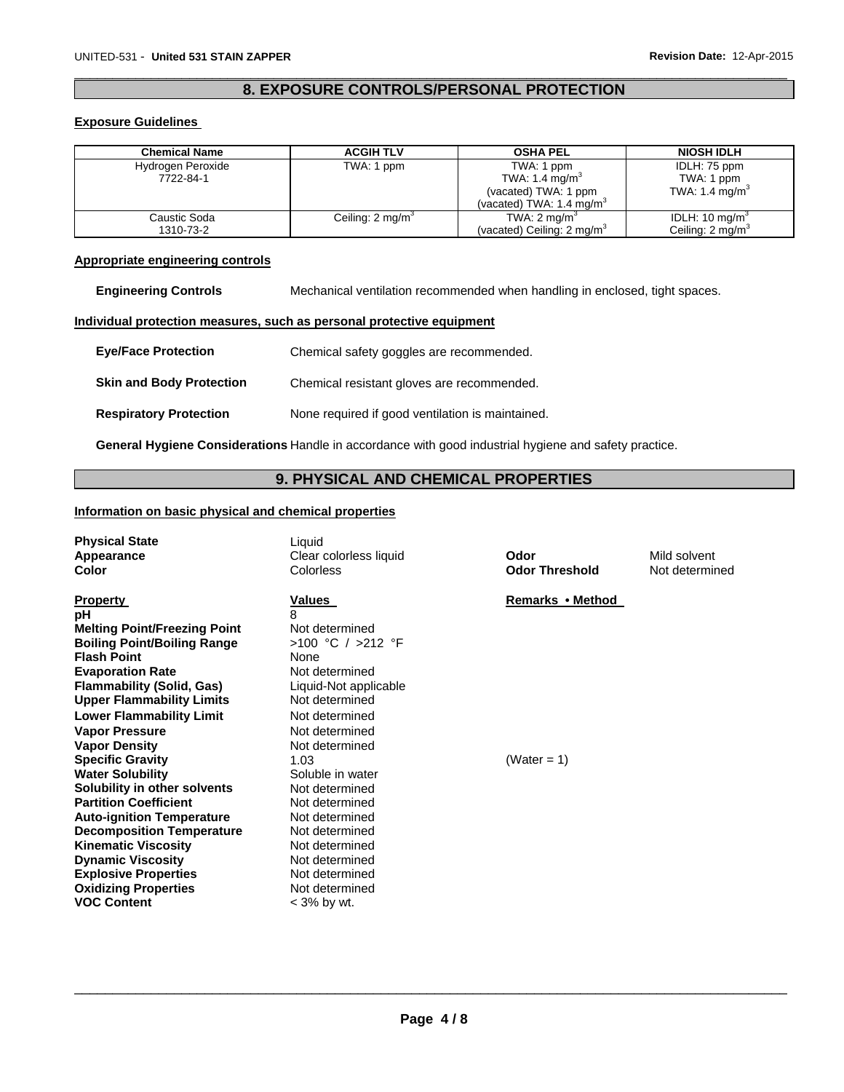# $\Box$ **8. EXPOSURE CONTROLS/PERSONAL PROTECTION**

# **Exposure Guidelines**

| <b>Chemical Name</b> | <b>ACGIH TLV</b>             | <b>OSHA PEL</b>                       | <b>NIOSH IDLH</b>           |
|----------------------|------------------------------|---------------------------------------|-----------------------------|
| Hydrogen Peroxide    | TWA: 1 ppm                   | TWA: 1 ppm                            | IDLH: 75 ppm                |
| 7722-84-1            |                              | TWA: 1.4 mg/m <sup>3</sup>            | TWA: 1 ppm                  |
|                      |                              | (vacated) TWA: 1 ppm                  | TWA: 1.4 mg/m $3$           |
|                      |                              | (vacated) TWA: $1.4 \text{ mg/m}^3$   |                             |
| Caustic Soda         | Ceiling: 2 mg/m <sup>3</sup> | TWA: $2 \text{ mg/m}^3$               | IDLH: $10 \text{ mg/m}^3$   |
| 1310-73-2            |                              | (vacated) Ceiling: $2 \text{ mg/m}^3$ | Ceiling: $2 \text{ mg/m}^3$ |

### **Appropriate engineering controls**

**Engineering Controls** Mechanical ventilation recommended when handling in enclosed, tight spaces.

#### **Individual protection measures, such as personal protective equipment**

| <b>Eye/Face Protection</b>      | Chemical safety goggles are recommended.         |
|---------------------------------|--------------------------------------------------|
| <b>Skin and Body Protection</b> | Chemical resistant gloves are recommended.       |
| <b>Respiratory Protection</b>   | None required if good ventilation is maintained. |

**General Hygiene Considerations** Handle in accordance with good industrial hygiene and safety practice.

# **9. PHYSICAL AND CHEMICAL PROPERTIES**

# **Information on basic physical and chemical properties**

| <b>Physical State</b><br>Appearance<br>Color                                                                                                                                                                                                                                                                                                                                                                                                                                                                                                                                                                                                                | Liquid<br>Clear colorless liquid<br>Colorless                                                                                                                                                                                                                                                                                                                                     | Odor<br><b>Odor Threshold</b>   | Mild solvent<br>Not determined |
|-------------------------------------------------------------------------------------------------------------------------------------------------------------------------------------------------------------------------------------------------------------------------------------------------------------------------------------------------------------------------------------------------------------------------------------------------------------------------------------------------------------------------------------------------------------------------------------------------------------------------------------------------------------|-----------------------------------------------------------------------------------------------------------------------------------------------------------------------------------------------------------------------------------------------------------------------------------------------------------------------------------------------------------------------------------|---------------------------------|--------------------------------|
| <b>Property</b><br>рH<br><b>Melting Point/Freezing Point</b><br><b>Boiling Point/Boiling Range</b><br><b>Flash Point</b><br><b>Evaporation Rate</b><br><b>Flammability (Solid, Gas)</b><br><b>Upper Flammability Limits</b><br><b>Lower Flammability Limit</b><br><b>Vapor Pressure</b><br><b>Vapor Density</b><br><b>Specific Gravity</b><br><b>Water Solubility</b><br>Solubility in other solvents<br><b>Partition Coefficient</b><br><b>Auto-ignition Temperature</b><br><b>Decomposition Temperature</b><br><b>Kinematic Viscosity</b><br><b>Dynamic Viscosity</b><br><b>Explosive Properties</b><br><b>Oxidizing Properties</b><br><b>VOC Content</b> | <b>Values</b><br>8<br>Not determined<br>>100 °C / >212 °F<br>None<br>Not determined<br>Liquid-Not applicable<br>Not determined<br>Not determined<br>Not determined<br>Not determined<br>1.03<br>Soluble in water<br>Not determined<br>Not determined<br>Not determined<br>Not determined<br>Not determined<br>Not determined<br>Not determined<br>Not determined<br>$<$ 3% by wt. | Remarks • Method<br>(Water = 1) |                                |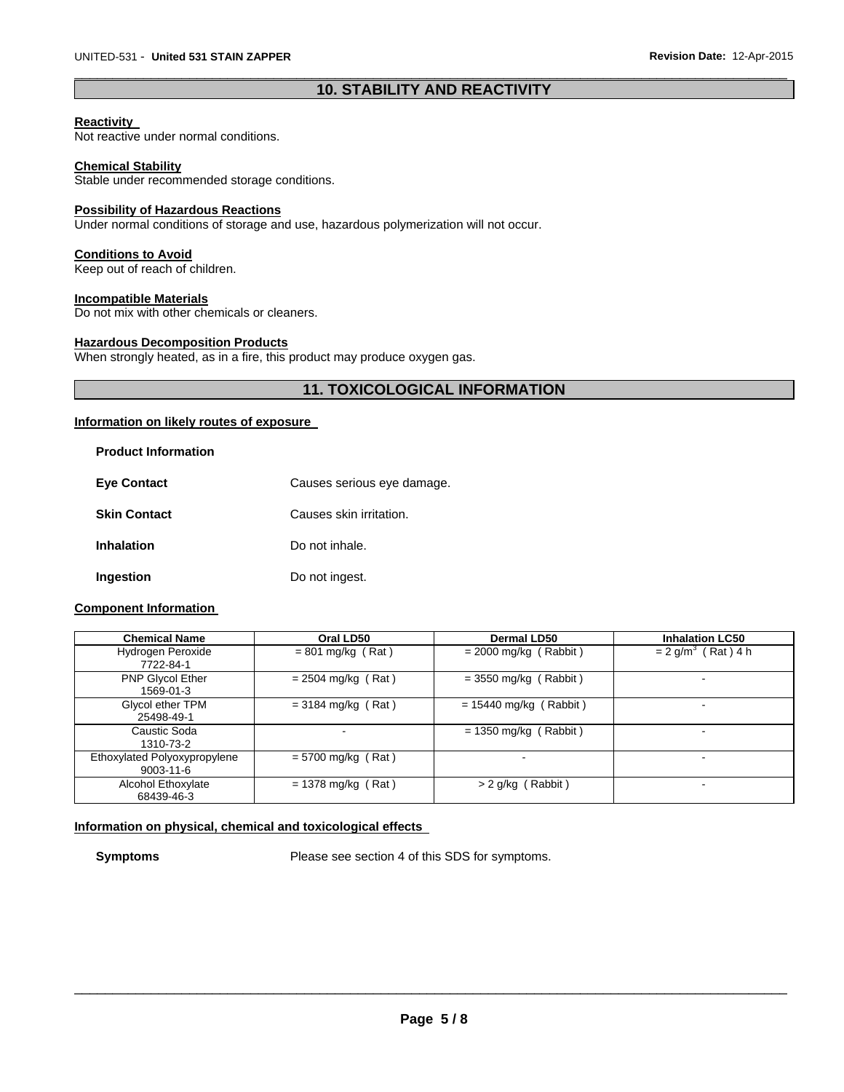# $\Box$ **10. STABILITY AND REACTIVITY**

#### **Reactivity**

Not reactive under normal conditions.

#### **Chemical Stability**

Stable under recommended storage conditions.

#### **Possibility of Hazardous Reactions**

Under normal conditions of storage and use, hazardous polymerization will not occur.

#### **Conditions to Avoid**

Keep out of reach of children.

### **Incompatible Materials**

Do not mix with other chemicals or cleaners.

#### **Hazardous Decomposition Products**

When strongly heated, as in a fire, this product may produce oxygen gas.

# **11. TOXICOLOGICAL INFORMATION**

#### **Information on likely routes of exposure**

| <b>Product Information</b> |                            |
|----------------------------|----------------------------|
| <b>Eye Contact</b>         | Causes serious eye damage. |
| <b>Skin Contact</b>        | Causes skin irritation.    |
| <b>Inhalation</b>          | Do not inhale.             |
| Ingestion                  | Do not ingest.             |

### **Component Information**

| <b>Chemical Name</b>                            | Oral LD50            | Dermal LD50              | <b>Inhalation LC50</b>           |
|-------------------------------------------------|----------------------|--------------------------|----------------------------------|
| Hydrogen Peroxide<br>7722-84-1                  | $= 801$ mg/kg (Rat)  | $= 2000$ mg/kg (Rabbit)  | $= 2$ g/m <sup>3</sup> (Rat) 4 h |
| PNP Glycol Ether<br>1569-01-3                   | $= 2504$ mg/kg (Rat) | $=$ 3550 mg/kg (Rabbit)  |                                  |
| Glycol ether TPM<br>25498-49-1                  | $=$ 3184 mg/kg (Rat) | $= 15440$ mg/kg (Rabbit) | $\overline{\phantom{0}}$         |
| Caustic Soda<br>1310-73-2                       |                      | $= 1350$ mg/kg (Rabbit)  | $\blacksquare$                   |
| Ethoxylated Polyoxypropylene<br>$9003 - 11 - 6$ | $= 5700$ mg/kg (Rat) |                          |                                  |
| Alcohol Ethoxylate<br>68439-46-3                | $= 1378$ mg/kg (Rat) | $> 2$ g/kg (Rabbit)      | $\overline{\phantom{0}}$         |

# **Information on physical, chemical and toxicological effects**

**Symptoms** Please see section 4 of this SDS for symptoms.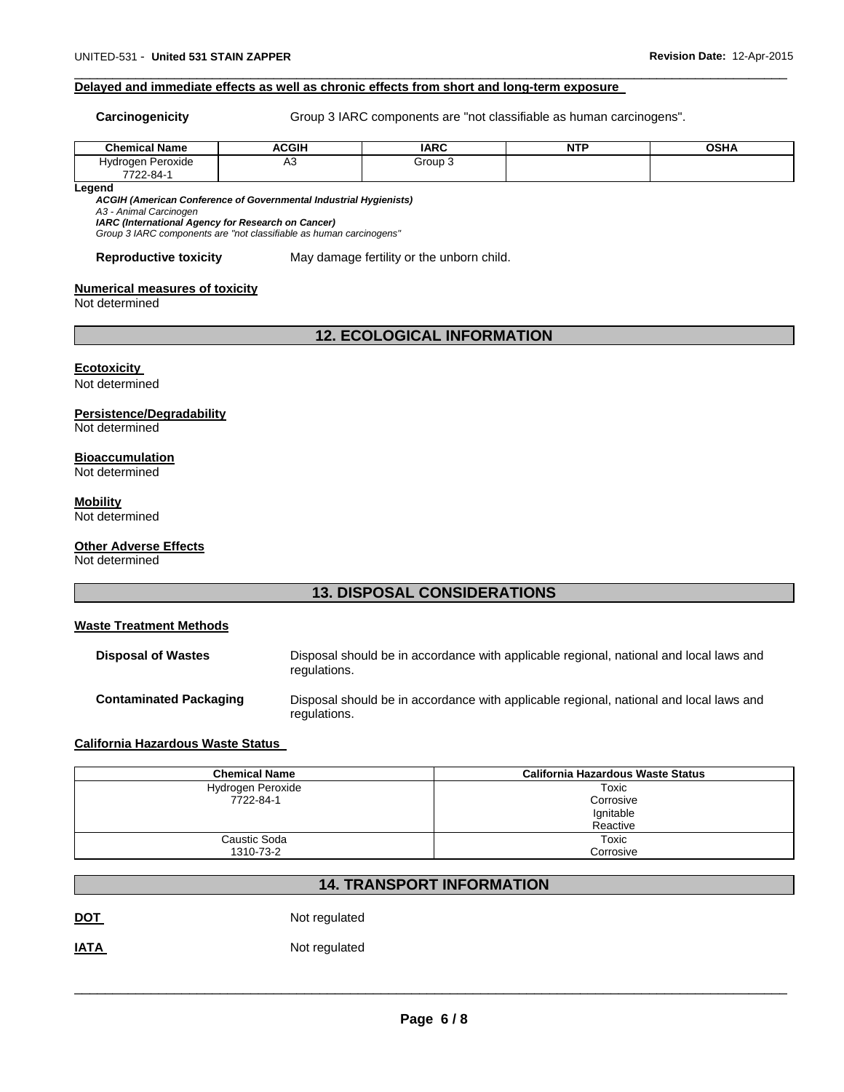#### **Delayed and immediate effects as well as chronic effects from short and long-term exposure**

**Carcinogenicity** Group 3 IARC components are "not classifiable as human carcinogens".

| Chemical <sup>N</sup><br>Name | <b>ACGIH</b> | <b>IARC</b> | <b>NTF</b> | <b>OSHA</b> |
|-------------------------------|--------------|-------------|------------|-------------|
| Peroxide<br>Hvdrogen          | ∾<br>$\sim$  | Group       |            |             |
| 7722-84-                      |              |             |            |             |

 $\Box$ 

**Legend** 

*ACGIH (American Conference of Governmental Industrial Hygienists)* 

*A3 - Animal Carcinogen IARC (International Agency for Research on Cancer)* 

*Group 3 IARC components are "not classifiable as human carcinogens"* 

#### **Reproductive toxicity** May damage fertility or the unborn child.

#### **Numerical measures of toxicity**

Not determined

# **12. ECOLOGICAL INFORMATION**

#### **Ecotoxicity**

Not determined

#### **Persistence/Degradability**

Not determined

### **Bioaccumulation**

Not determined

# **Mobility**

Not determined

#### **Other Adverse Effects**

Not determined

# **13. DISPOSAL CONSIDERATIONS**

#### **Waste Treatment Methods**

**Disposal of Wastes** Disposal should be in accordance with applicable regional, national and local laws and regulations. **Contaminated Packaging** Disposal should be in accordance with applicable regional, national and local laws and regulations.

# **California Hazardous Waste Status**

| <b>Chemical Name</b> | <b>California Hazardous Waste Status</b> |
|----------------------|------------------------------------------|
| Hydrogen Peroxide    | Toxic                                    |
| 7722-84-1            | Corrosive                                |
|                      | Ignitable                                |
|                      | Reactive                                 |
| Caustic Soda         | Toxic                                    |
| 1310-73-2            | Corrosive                                |

# **14. TRANSPORT INFORMATION**

**DOT** Not regulated

**IATA** Not regulated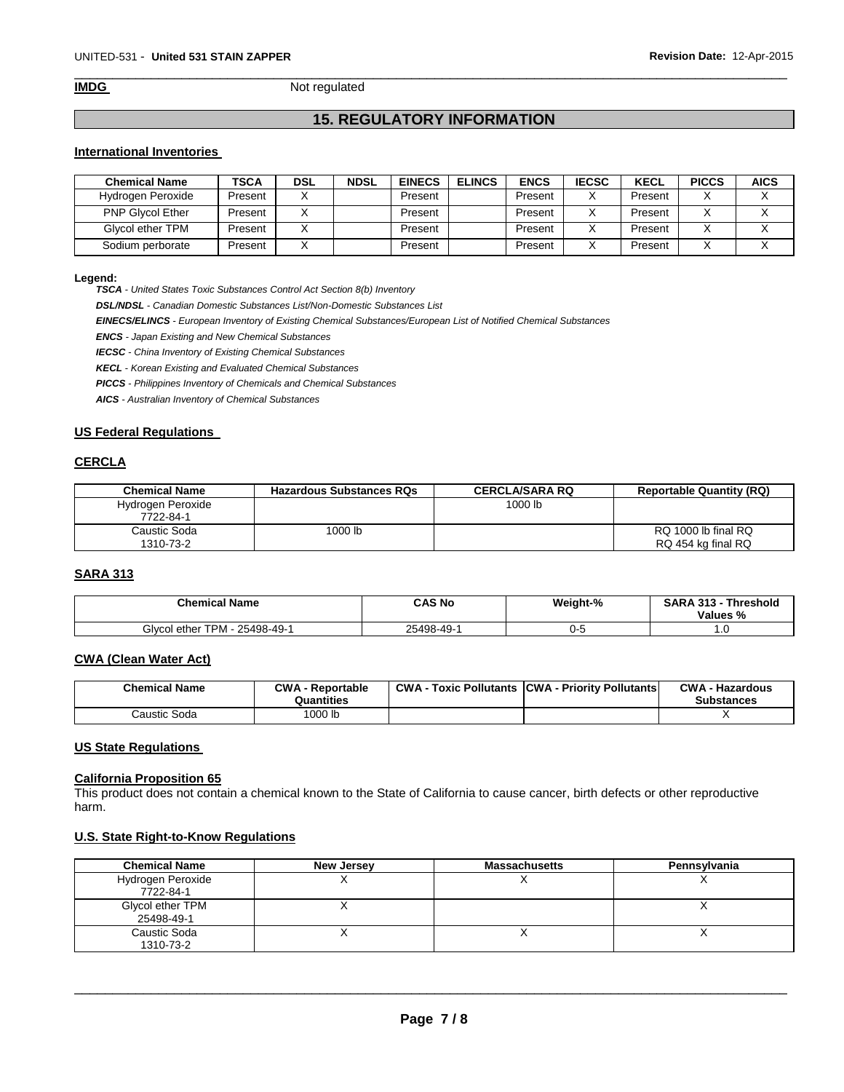$\Box$ **IMDG** Not regulated

# **15. REGULATORY INFORMATION**

# **International Inventories**

| <b>Chemical Name</b>    | TSCA    | <b>DSL</b> | <b>NDSL</b> | <b>EINECS</b> | <b>ELINCS</b> | <b>ENCS</b> | <b>IECSC</b> | <b>KECL</b> | <b>PICCS</b> | <b>AICS</b> |
|-------------------------|---------|------------|-------------|---------------|---------------|-------------|--------------|-------------|--------------|-------------|
| Hydrogen Peroxide       | Present |            |             | Present       |               | Present     |              | Present     |              |             |
| <b>PNP Glycol Ether</b> | Present |            |             | Present       |               | Present     |              | Present     |              |             |
| Glycol ether TPM        | Present |            |             | Present       |               | Present     |              | Present     |              |             |
| Sodium perborate        | Present |            |             | Present       |               | Present     |              | Present     |              |             |

#### **Legend:**

*TSCA - United States Toxic Substances Control Act Section 8(b) Inventory* 

*DSL/NDSL - Canadian Domestic Substances List/Non-Domestic Substances List* 

*EINECS/ELINCS - European Inventory of Existing Chemical Substances/European List of Notified Chemical Substances* 

*ENCS - Japan Existing and New Chemical Substances* 

*IECSC - China Inventory of Existing Chemical Substances* 

*KECL - Korean Existing and Evaluated Chemical Substances* 

*PICCS - Philippines Inventory of Chemicals and Chemical Substances* 

*AICS - Australian Inventory of Chemical Substances* 

#### **US Federal Regulations**

### **CERCLA**

| <b>Chemical Name</b>           | <b>Hazardous Substances RQs</b> | <b>CERCLA/SARA RQ</b> | <b>Reportable Quantity (RQ)</b>           |
|--------------------------------|---------------------------------|-----------------------|-------------------------------------------|
| Hydrogen Peroxide<br>7722-84-1 |                                 | 1000 lb               |                                           |
| Caustic Soda<br>1310-73-2      | 1000 lb                         |                       | RQ 1000 lb final RQ<br>RQ 454 kg final RQ |

# **SARA 313**

| <b>Chemical Name</b>                  | CAS No     | Weight-% | <b>SARA 313 -</b><br>Threshold<br>Values % |
|---------------------------------------|------------|----------|--------------------------------------------|
| l ether TPM -<br>Glvcol<br>25498-49-1 | 25498-49-1 | '-ل      | $\cdot \cdot$                              |

# **CWA (Clean Water Act)**

| <b>Chemical Name</b> | <b>CWA - Reportable</b><br>Quantities | <b>CWA - Toxic Pollutants CWA - Priority Pollutants</b> | <b>CWA - Hazardous</b><br><b>Substances</b> |
|----------------------|---------------------------------------|---------------------------------------------------------|---------------------------------------------|
| Caustic Soda         | <sup>1</sup> 000 lb                   |                                                         |                                             |

#### **US State Regulations**

#### **California Proposition 65**

This product does not contain a chemical known to the State of California to cause cancer, birth defects or other reproductive harm.

#### **U.S. State Right-to-Know Regulations**

| <b>Chemical Name</b>           | New Jersey | <b>Massachusetts</b> | Pennsylvania |
|--------------------------------|------------|----------------------|--------------|
| Hydrogen Peroxide<br>7722-84-1 |            |                      |              |
| Glycol ether TPM<br>25498-49-1 |            |                      |              |
| Caustic Soda<br>1310-73-2      |            |                      |              |